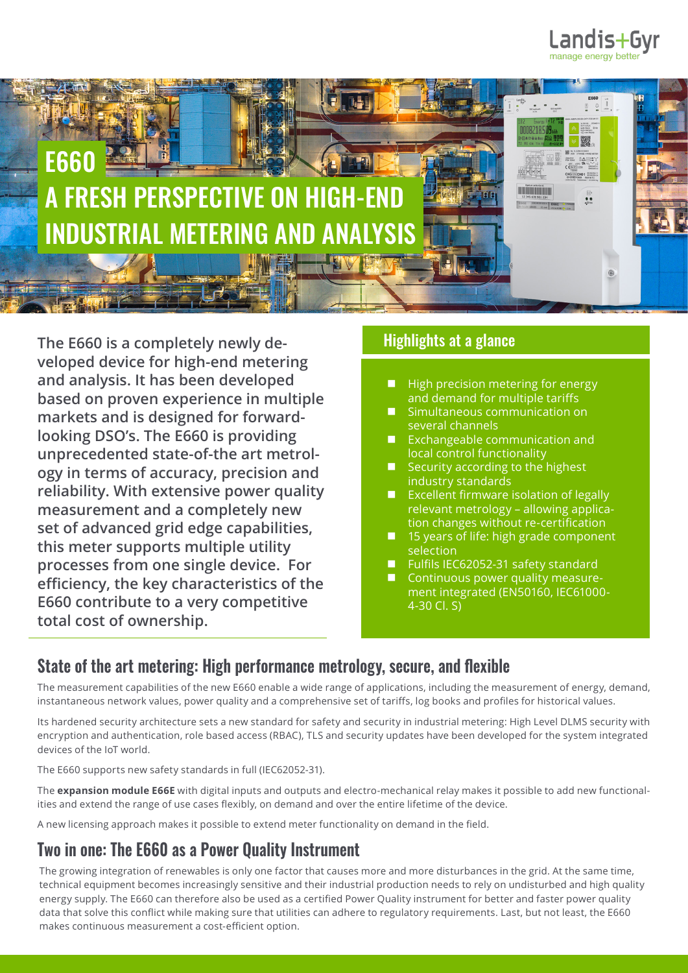



**The E660 is a completely newly developed device for high-end metering and analysis. It has been developed based on proven experience in multiple markets and is designed for forwardlooking DSO's. The E660 is providing unprecedented state-of-the art metrology in terms of accuracy, precision and reliability. With extensive power quality measurement and a completely new set of advanced grid edge capabilities, this meter supports multiple utility processes from one single device. For efficiency, the key characteristics of the E660 contribute to a very competitive total cost of ownership.** 

## Highlights at a glance

- **High precision metering for energy** and demand for multiple tariffs
- Simultaneous communication on several channels
- Exchangeable communication and local control functionality
- Security according to the highest industry standards
- **EXCELLENT FIGUREY EXCELLENT** Excellent firmware isolation of legally relevant metrology – allowing application changes without re-certification
- 15 years of life: high grade component selection
- Fulfils IEC62052-31 safety standard
- Continuous power quality measurement integrated (EN50160, IEC61000- 4-30 Cl. S)

## **State of the art metering: High performance metrology, secure, and flexible**

The measurement capabilities of the new E660 enable a wide range of applications, including the measurement of energy, demand, instantaneous network values, power quality and a comprehensive set of tariffs, log books and profiles for historical values.

Its hardened security architecture sets a new standard for safety and security in industrial metering: High Level DLMS security with encryption and authentication, role based access (RBAC), TLS and security updates have been developed for the system integrated devices of the IoT world.

The E660 supports new safety standards in full (IEC62052-31).

The **expansion module E66E** with digital inputs and outputs and electro-mechanical relay makes it possible to add new functionalities and extend the range of use cases flexibly, on demand and over the entire lifetime of the device.

A new licensing approach makes it possible to extend meter functionality on demand in the field.

## **Two in one: The E660 as a Power Quality Instrument**

The growing integration of renewables is only one factor that causes more and more disturbances in the grid. At the same time, technical equipment becomes increasingly sensitive and their industrial production needs to rely on undisturbed and high quality energy supply. The E660 can therefore also be used as a certified Power Quality instrument for better and faster power quality data that solve this conflict while making sure that utilities can adhere to regulatory requirements. Last, but not least, the E660 makes continuous measurement a cost-efficient option.